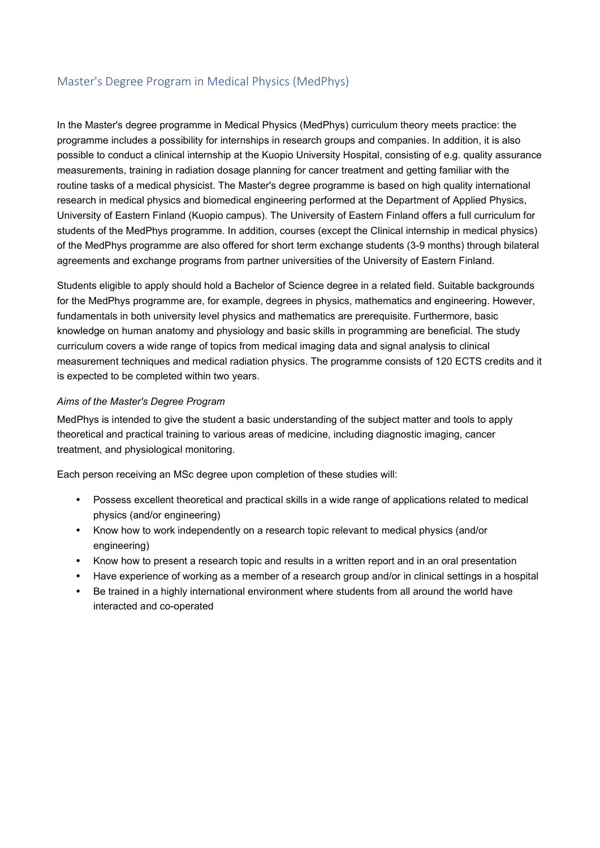## Master's Degree Program in Medical Physics (MedPhys)

In the Master's degree programme in Medical Physics (MedPhys) curriculum theory meets practice: the programme includes a possibility for internships in research groups and companies. In addition, it is also possible to conduct a clinical internship at the Kuopio University Hospital, consisting of e.g. quality assurance measurements, training in radiation dosage planning for cancer treatment and getting familiar with the routine tasks of a medical physicist. The Master's degree programme is based on high quality international research in medical physics and biomedical engineering performed at the Department of Applied Physics, University of Eastern Finland (Kuopio campus). The University of Eastern Finland offers a full curriculum for students of the MedPhys programme. In addition, courses (except the Clinical internship in medical physics) of the MedPhys programme are also offered for short term exchange students (3-9 months) through bilateral agreements and exchange programs from partner universities of the University of Eastern Finland.

Students eligible to apply should hold a Bachelor of Science degree in a related field. Suitable backgrounds for the MedPhys programme are, for example, degrees in physics, mathematics and engineering. However, fundamentals in both university level physics and mathematics are prerequisite. Furthermore, basic knowledge on human anatomy and physiology and basic skills in programming are beneficial. The study curriculum covers a wide range of topics from medical imaging data and signal analysis to clinical measurement techniques and medical radiation physics. The programme consists of 120 ECTS credits and it is expected to be completed within two years.

## *Aims of the Master's Degree Program*

MedPhys is intended to give the student a basic understanding of the subject matter and tools to apply theoretical and practical training to various areas of medicine, including diagnostic imaging, cancer treatment, and physiological monitoring.

Each person receiving an MSc degree upon completion of these studies will:

- Possess excellent theoretical and practical skills in a wide range of applications related to medical physics (and/or engineering)
- Know how to work independently on a research topic relevant to medical physics (and/or engineering)
- Know how to present a research topic and results in a written report and in an oral presentation
- Have experience of working as a member of a research group and/or in clinical settings in a hospital
- Be trained in a highly international environment where students from all around the world have interacted and co-operated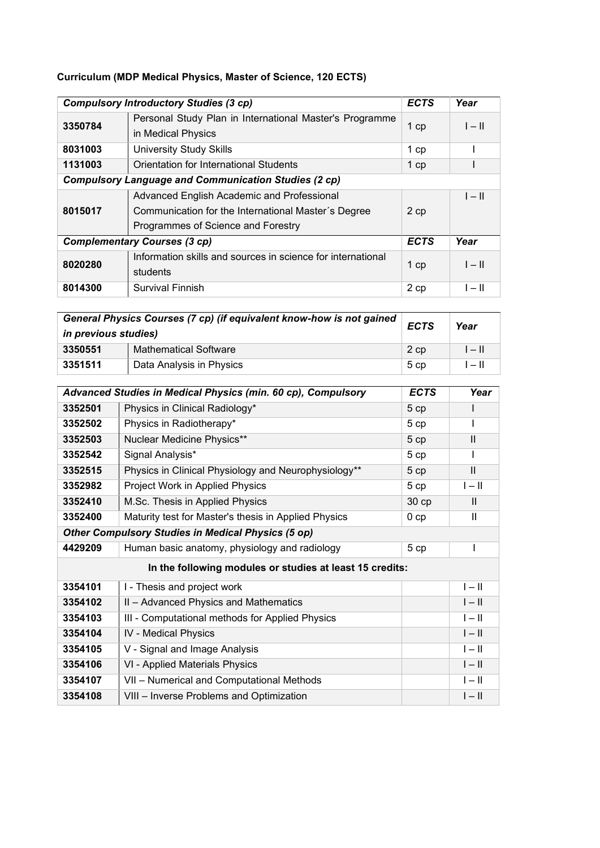## **Curriculum (MDP Medical Physics, Master of Science, 120 ECTS)**

|                                                             | <b>Compulsory Introductory Studies (3 cp)</b>                                 | <b>ECTS</b> | Year     |
|-------------------------------------------------------------|-------------------------------------------------------------------------------|-------------|----------|
| 3350784                                                     | Personal Study Plan in International Master's Programme<br>in Medical Physics | $1$ cp      | $I - II$ |
| 8031003                                                     | <b>University Study Skills</b>                                                | $1$ cp      |          |
| 1131003                                                     | Orientation for International Students                                        | $1$ cp      |          |
| <b>Compulsory Language and Communication Studies (2 cp)</b> |                                                                               |             |          |
|                                                             | Advanced English Academic and Professional                                    |             | $I - II$ |
| 8015017                                                     | Communication for the International Master's Degree                           | 2 cp        |          |
|                                                             | Programmes of Science and Forestry                                            |             |          |
|                                                             | <b>Complementary Courses (3 cp)</b>                                           | <b>ECTS</b> | Year     |
| 8020280                                                     | Information skills and sources in science for international                   | 1 cp        | $I - II$ |
|                                                             | students                                                                      |             |          |
| 8014300                                                     | Survival Finnish                                                              | 2 cp        | $I - II$ |

| in previous studies) | General Physics Courses (7 cp) (if equivalent know-how is not gained | <b>ECTS</b>     | Year     |
|----------------------|----------------------------------------------------------------------|-----------------|----------|
| 3350551              | <b>Mathematical Software</b>                                         | 2 cp            | $ - $    |
| 3351511              | Data Analysis in Physics                                             | 5 <sub>cp</sub> | $I - II$ |

|                                                           | Advanced Studies in Medical Physics (min. 60 cp), Compulsory | <b>ECTS</b>     | Year         |
|-----------------------------------------------------------|--------------------------------------------------------------|-----------------|--------------|
| 3352501                                                   | Physics in Clinical Radiology*                               | 5 cp            |              |
| 3352502                                                   | Physics in Radiotherapy*                                     | 5cp             | I            |
| 3352503                                                   | Nuclear Medicine Physics**                                   | 5 cp            | $\mathbf{I}$ |
| 3352542                                                   | Signal Analysis*                                             | 5cp             |              |
| 3352515                                                   | Physics in Clinical Physiology and Neurophysiology**         | 5cp             | $\mathbf{H}$ |
| 3352982                                                   | Project Work in Applied Physics                              | 5cp             | $I - II$     |
| 3352410                                                   | M.Sc. Thesis in Applied Physics                              | 30 cp           | $\mathbf{H}$ |
| 3352400                                                   | Maturity test for Master's thesis in Applied Physics         | 0 <sub>cp</sub> | $\mathbf{H}$ |
| <b>Other Compulsory Studies in Medical Physics (5 op)</b> |                                                              |                 |              |
| 4429209                                                   | Human basic anatomy, physiology and radiology                | 5 cp            |              |
|                                                           | In the following modules or studies at least 15 credits:     |                 |              |
| 3354101                                                   | I - Thesis and project work                                  |                 | $I - II$     |
| 3354102                                                   | II - Advanced Physics and Mathematics                        |                 | $I - II$     |
| 3354103                                                   | III - Computational methods for Applied Physics              |                 | $I - II$     |
| 3354104                                                   | <b>IV</b> - Medical Physics                                  |                 | $I - II$     |
| 3354105                                                   | V - Signal and Image Analysis                                |                 | $I - II$     |
| 3354106                                                   | VI - Applied Materials Physics                               |                 | $I - II$     |
| 3354107                                                   | VII - Numerical and Computational Methods                    |                 | $ -  $       |
| 3354108                                                   | VIII - Inverse Problems and Optimization                     |                 | $I - II$     |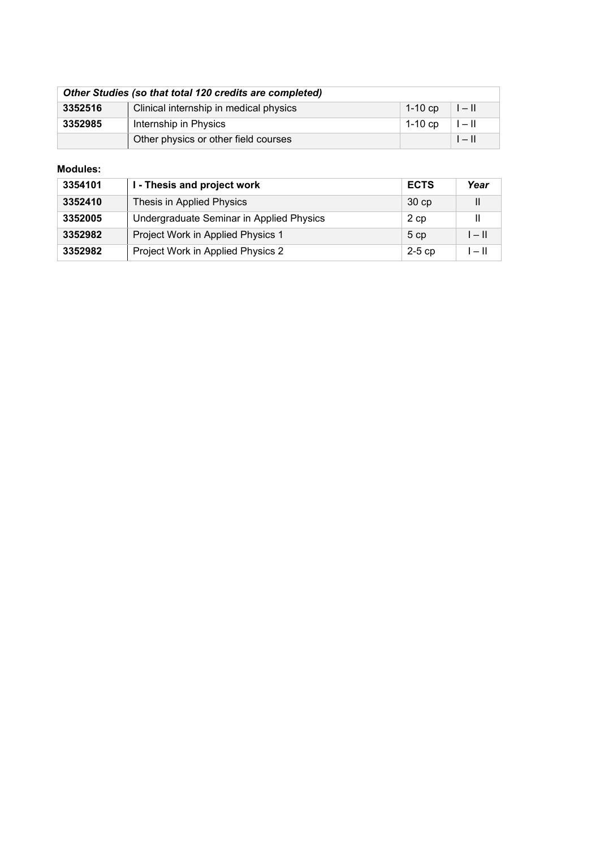| Other Studies (so that total 120 credits are completed) |                                        |         |                         |
|---------------------------------------------------------|----------------------------------------|---------|-------------------------|
| 3352516                                                 | Clinical internship in medical physics | 1-10 cp | $\parallel - \parallel$ |
| 3352985                                                 | Internship in Physics                  | 1-10 cp | $I - II$                |
|                                                         | Other physics or other field courses   |         | $I - II$                |

## **Modules:**

| 3354101 | I - Thesis and project work              | <b>ECTS</b>     | Year     |
|---------|------------------------------------------|-----------------|----------|
| 3352410 | Thesis in Applied Physics                | 30cp            |          |
| 3352005 | Undergraduate Seminar in Applied Physics | 2 cp            |          |
| 3352982 | Project Work in Applied Physics 1        | 5 <sub>cp</sub> | $I - II$ |
| 3352982 | Project Work in Applied Physics 2        | $2-5$ cp        | $I - II$ |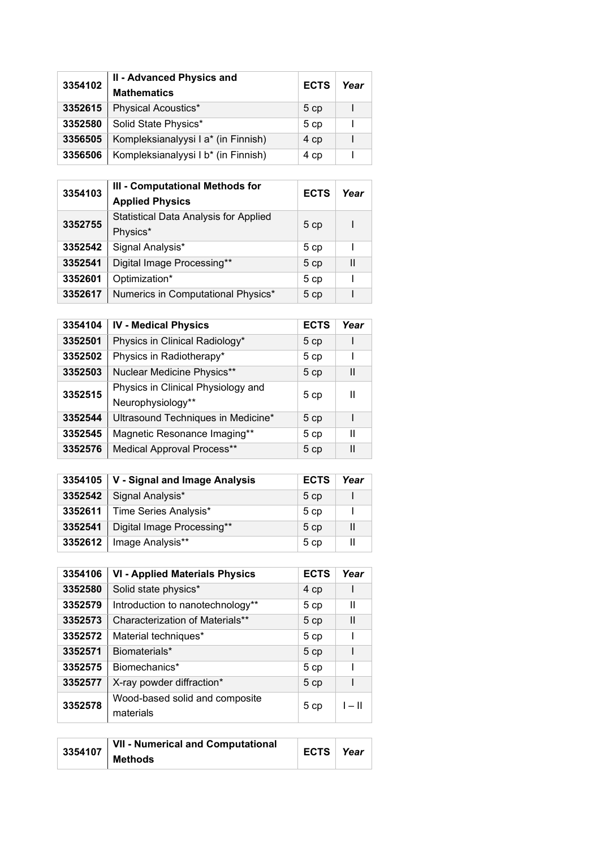| 3354102 | II - Advanced Physics and<br><b>Mathematics</b> | <b>ECTS</b> | Year |
|---------|-------------------------------------------------|-------------|------|
| 3352615 | Physical Acoustics*                             | 5cp         |      |
| 3352580 | Solid State Physics*                            | 5cp         |      |
| 3356505 | Kompleksianalyysi I a* (in Finnish)             | 4 cp        |      |
| 3356506 | Kompleksianalyysi I b* (in Finnish)             | 4 cp        |      |

| 3354103 | III - Computational Methods for<br><b>Applied Physics</b> | <b>ECTS</b> | Year |
|---------|-----------------------------------------------------------|-------------|------|
| 3352755 | <b>Statistical Data Analysis for Applied</b><br>Physics*  | 5 cp        |      |
| 3352542 | Signal Analysis*                                          | 5 cp        |      |
| 3352541 | Digital Image Processing**                                | 5cp         | Ш    |
| 3352601 | Optimization*                                             | 5cp         |      |
| 3352617 | Numerics in Computational Physics*                        | 5 cp        |      |

|         |                                                         | <b>ECTS</b> | Year |
|---------|---------------------------------------------------------|-------------|------|
| 3354104 | <b>IV - Medical Physics</b>                             |             |      |
| 3352501 | Physics in Clinical Radiology*                          | 5 cp        |      |
| 3352502 | Physics in Radiotherapy*                                | 5 cp        |      |
| 3352503 | Nuclear Medicine Physics**                              | 5 cp        | Ш    |
| 3352515 | Physics in Clinical Physiology and<br>Neurophysiology** | 5cp         | Ш    |
| 3352544 | Ultrasound Techniques in Medicine*                      | 5cp         |      |
| 3352545 | Magnetic Resonance Imaging**                            | 5 cp        | Ш    |
| 3352576 | Medical Approval Process**                              | 5cp         | Ш    |

|         | 3354105   V - Signal and Image Analysis | <b>ECTS</b> | Year |
|---------|-----------------------------------------|-------------|------|
| 3352542 | Signal Analysis*                        | 5cp         |      |
|         | 3352611   Time Series Analysis*         | 5cp         |      |
| 3352541 | Digital Image Processing**              | 5cp         | Ш    |
| 3352612 | Image Analysis**                        | 5cp         | Ш    |

| 3354106 | <b>VI - Applied Materials Physics</b>       | <b>ECTS</b> | Year     |
|---------|---------------------------------------------|-------------|----------|
| 3352580 | Solid state physics*                        | 4 cp        |          |
| 3352579 | Introduction to nanotechnology**            | 5cp         | Ш        |
| 3352573 | Characterization of Materials**             | 5 cp        | Ш        |
| 3352572 | Material techniques*                        | 5 cp        |          |
| 3352571 | Biomaterials*                               | 5 cp        |          |
| 3352575 | Biomechanics*                               | 5 cp        |          |
| 3352577 | X-ray powder diffraction*                   | 5 cp        |          |
| 3352578 | Wood-based solid and composite<br>materials | 5cp         | $I - II$ |

| 3354107 | VII - Numerical and Computational | ⊩ECTS ∣ <i>Year</i> |  |
|---------|-----------------------------------|---------------------|--|
|         | <b>Methods</b>                    |                     |  |